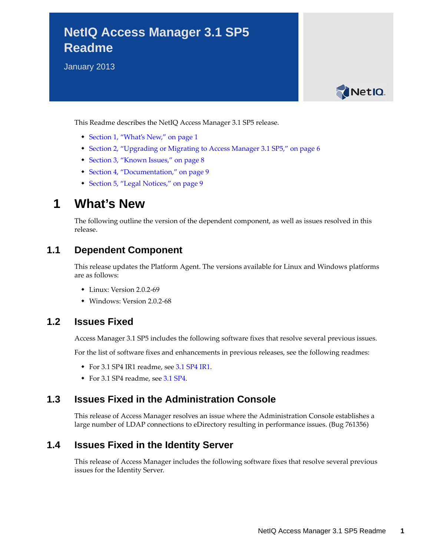# **NetIQ Access Manager 3.1 SP5 Readme**

January 2013



This Readme describes the NetIQ Access Manager 3.1 SP5 release.

- [Section 1, "What's New," on page 1](#page-0-0)
- [Section 2, "Upgrading or Migrating to Access Manager 3.1 SP5," on page 6](#page-5-0)
- [Section 3, "Known Issues," on page 8](#page-7-0)
- [Section 4, "Documentation," on page 9](#page-8-0)
- [Section 5, "Legal Notices," on page 9](#page-8-1)

# <span id="page-0-0"></span>**1 What's New**

The following outline the version of the dependent component, as well as issues resolved in this release.

### **1.1 Dependent Component**

This release updates the Platform Agent. The versions available for Linux and Windows platforms are as follows:

- Linux: Version 2.0.2-69
- Windows: Version 2.0.2-68

### **1.2 Issues Fixed**

Access Manager 3.1 SP5 includes the following software fixes that resolve several previous issues.

For the list of software fixes and enhancements in previous releases, see the following readmes:

- For 3.1 SP4 IR1 readme, se[e 3.1 SP4 IR1](https://www.netiq.com/documentation/novellaccessmanager31/readme/data/accessmanager_readme_314_ir1.html).
- For 3.1 SP4 readme, see [3.1 SP4](https://www.netiq.com/documentation/novellaccessmanager31/readme/data/accessmanager_readme_314.html).

### **1.3 Issues Fixed in the Administration Console**

This release of Access Manager resolves an issue where the Administration Console establishes a large number of LDAP connections to eDirectory resulting in performance issues. (Bug 761356)

### **1.4 Issues Fixed in the Identity Server**

This release of Access Manager includes the following software fixes that resolve several previous issues for the Identity Server.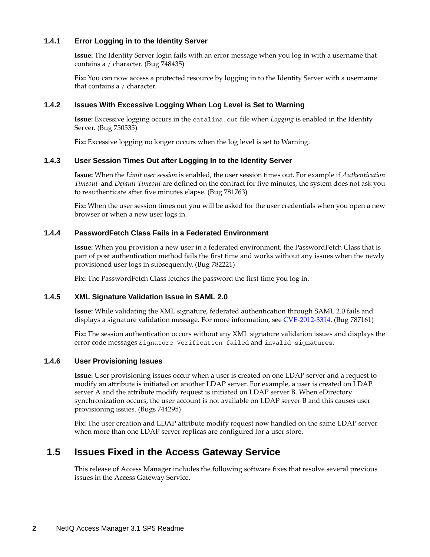#### **1.4.1 Error Logging in to the Identity Server**

**Issue:** The Identity Server login fails with an error message when you log in with a username that contains a / character. (Bug 748435)

**Fix:** You can now access a protected resource by logging in to the Identity Server with a username that contains a / character.

#### **1.4.2 Issues With Excessive Logging When Log Level is Set to Warning**

**Issue:** Excessive logging occurs in the catalina.out file when *Logging* is enabled in the Identity Server. (Bug 750535)

**Fix:** Excessive logging no longer occurs when the log level is set to Warning.

#### **1.4.3 User Session Times Out after Logging In to the Identity Server**

**Issue:** When the *Limit user session* is enabled, the user session times out. For example if *Authentication Timeout* and *Default Timeout* are defined on the contract for five minutes, the system does not ask you to reauthenticate after five minutes elapse. (Bug 781763)

**Fix:** When the user session times out you will be asked for the user credentials when you open a new browser or when a new user logs in.

### **1.4.4 PasswordFetch Class Fails in a Federated Environment**

**Issue:** When you provision a new user in a federated environment, the PasswordFetch Class that is part of post authentication method fails the first time and works without any issues when the newly provisioned user logs in subsequently. (Bug 782221)

**Fix:** The PasswordFetch Class fetches the password the first time you log in.

#### **1.4.5 XML Signature Validation Issue in SAML 2.0**

**Issue:** While validating the XML signature, federated authentication through SAML 2.0 fails and displays a signature validation message. For more information, see [CVE-2012-3314.](CVE-2012-3314 (http://web.nvd.nist.gov/view/vuln/detail?vulnId=CVE-2012-3314) (Bug 787161)

**Fix:** The session authentication occurs without any XML signature validation issues and displays the error code messages Signature Verification failed and invalid signatures.

#### **1.4.6 User Provisioning Issues**

**Issue:** User provisioning issues occur when a user is created on one LDAP server and a request to modify an attribute is initiated on another LDAP server. For example, a user is created on LDAP server A and the attribute modify request is initiated on LDAP server B. When eDirectory synchronization occurs, the user account is not available on LDAP server B and this causes user provisioning issues. (Bugs 744295)

Fix: The user creation and LDAP attribute modify request now handled on the same LDAP server when more than one LDAP server replicas are configured for a user store.

# **1.5 Issues Fixed in the Access Gateway Service**

This release of Access Manager includes the following software fixes that resolve several previous issues in the Access Gateway Service.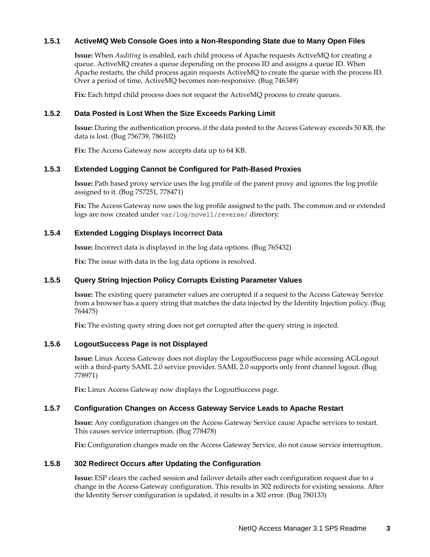### **1.5.1 ActiveMQ Web Console Goes into a Non-Responding State due to Many Open Files**

**Issue:** When *Auditing* is enabled, each child process of Apache requests ActiveMQ for creating a queue. ActiveMQ creates a queue depending on the process ID and assigns a queue ID. When Apache restarts, the child process again requests ActiveMQ to create the queue with the process ID. Over a period of time, ActiveMQ becomes non-responsive. (Bug 746349)

Fix: Each httpd child process does not request the ActiveMQ process to create queues.

#### **1.5.2 Data Posted is Lost When the Size Exceeds Parking Limit**

**Issue:** During the authentication process, if the data posted to the Access Gateway exceeds 50 KB, the data is lost. (Bug 756739, 786102)

**Fix:** The Access Gateway now accepts data up to 64 KB.

#### **1.5.3 Extended Logging Cannot be Configured for Path-Based Proxies**

**Issue:** Path based proxy service uses the log profile of the parent proxy and ignores the log profile assigned to it. (Bug 757251, 778471)

**Fix:** The Access Gateway now uses the log profile assigned to the path. The common and or extended logs are now created under var/log/novell/reverse/ directory.

#### **1.5.4 Extended Logging Displays Incorrect Data**

**Issue:** Incorrect data is displayed in the log data options. (Bug 765432)

**Fix:** The issue with data in the log data options is resolved.

#### **1.5.5 Query String Injection Policy Corrupts Existing Parameter Values**

**Issue:** The existing query parameter values are corrupted if a request to the Access Gateway Service from a browser has a query string that matches the data injected by the Identity Injection policy. (Bug 764475)

Fix: The existing query string does not get corrupted after the query string is injected.

#### **1.5.6 LogoutSuccess Page is not Displayed**

**Issue:** Linux Access Gateway does not display the LogoutSuccess page while accessing AGLogout with a third-party SAML 2.0 service provider. SAML 2.0 supports only front channel logout. (Bug 778971)

**Fix:** Linux Access Gateway now displays the LogoutSuccess page.

#### **1.5.7 Configuration Changes on Access Gateway Service Leads to Apache Restart**

**Issue:** Any configuration changes on the Access Gateway Service cause Apache services to restart. This causes service interruption. (Bug 778478)

**Fix:** Configuration changes made on the Access Gateway Service, do not cause service interruption.

#### **1.5.8 302 Redirect Occurs after Updating the Configuration**

**Issue:** ESP clears the cached session and failover details after each configuration request due to a change in the Access Gateway configuration. This results in 302 redirects for existing sessions. After the Identity Server configuration is updated, it results in a 302 error. (Bug 780133)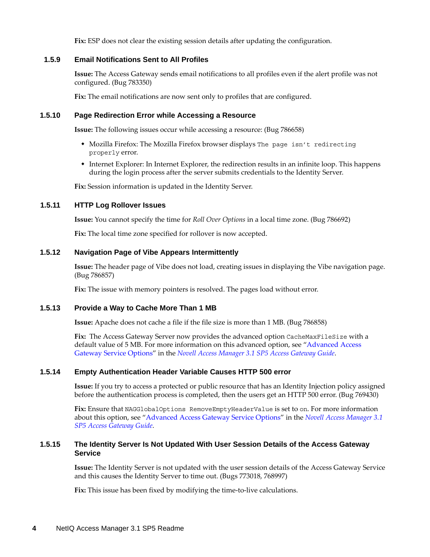**Fix:** ESP does not clear the existing session details after updating the configuration.

#### **1.5.9 Email Notifications Sent to All Profiles**

**Issue:** The Access Gateway sends email notifications to all profiles even if the alert profile was not configured. (Bug 783350)

Fix: The email notifications are now sent only to profiles that are configured.

#### **1.5.10 Page Redirection Error while Accessing a Resource**

**Issue:** The following issues occur while accessing a resource: (Bug 786658)

- Mozilla Firefox: The Mozilla Firefox browser displays The page isn't redirecting properly error.
- Internet Explorer: In Internet Explorer, the redirection results in an infinite loop. This happens during the login process after the server submits credentials to the Identity Server.

**Fix:** Session information is updated in the Identity Server.

#### **1.5.11 HTTP Log Rollover Issues**

**Issue:** You cannot specify the time for *Roll Over Options* in a local time zone. (Bug 786692)

**Fix:** The local time zone specified for rollover is now accepted.

#### **1.5.12 Navigation Page of Vibe Appears Intermittently**

**Issue:** The header page of Vibe does not load, creating issues in displaying the Vibe navigation page. (Bug 786857)

Fix: The issue with memory pointers is resolved. The pages load without error.

#### **1.5.13 Provide a Way to Cache More Than 1 MB**

**Issue:** Apache does not cache a file if the file size is more than 1 MB. (Bug 786858)

Fix: The Access Gateway Server now provides the advanced option CacheMaxFileSize with a default value of 5 MB. For more information on this advanced option, see "Advanced Access Gateway Service Options" in the *Novell Access Manager 3.1 SP5 Access Gateway Guide*.

#### **1.5.14 Empty Authentication Header Variable Causes HTTP 500 error**

**Issue:** If you try to access a protected or public resource that has an Identity Injection policy assigned before the authentication process is completed, then the users get an HTTP 500 error. (Bug 769430)

**Fix:** Ensure that NAGGlobalOptions RemoveEmptyHeaderValue is set to on. For more information about this option, see "Advanced Access Gateway Service Options" in the *Novell Access Manager 3.1 SP5 Access Gateway Guide*.

#### **1.5.15 The Identity Server Is Not Updated With User Session Details of the Access Gateway Service**

**Issue:** The Identity Server is not updated with the user session details of the Access Gateway Service and this causes the Identity Server to time out. (Bugs 773018, 768997)

**Fix:** This issue has been fixed by modifying the time-to-live calculations.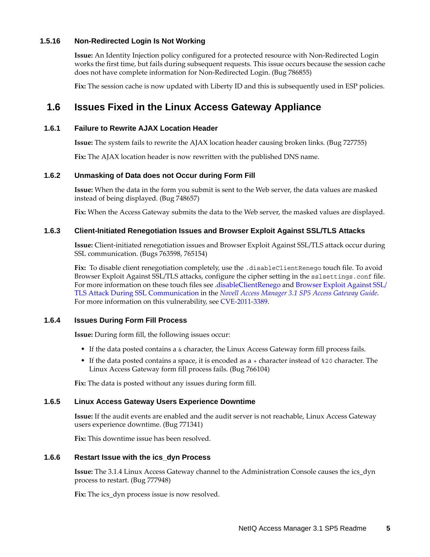#### **1.5.16 Non-Redirected Login Is Not Working**

**Issue:** An Identity Injection policy configured for a protected resource with Non-Redirected Login works the first time, but fails during subsequent requests. This issue occurs because the session cache does not have complete information for Non-Redirected Login. (Bug 786855)

**Fix:** The session cache is now updated with Liberty ID and this is subsequently used in ESP policies.

# **1.6 Issues Fixed in the Linux Access Gateway Appliance**

#### **1.6.1 Failure to Rewrite AJAX Location Header**

**Issue:** The system fails to rewrite the AJAX location header causing broken links. (Bug 727755)

**Fix:** The AJAX location header is now rewritten with the published DNS name.

#### **1.6.2 Unmasking of Data does not Occur during Form Fill**

**Issue:** When the data in the form you submit is sent to the Web server, the data values are masked instead of being displayed. (Bug 748657)

**Fix:** When the Access Gateway submits the data to the Web server, the masked values are displayed.

#### **1.6.3 Client-Initiated Renegotiation Issues and Browser Exploit Against SSL/TLS Attacks**

**Issue:** Client-initiated renegotiation issues and Browser Exploit Against SSL/TLS attack occur during SSL communication. (Bugs 763598, 765154)

Fix: To disable client renegotiation completely, use the .disableClientRenego touch file. To avoid Browser Exploit Against SSL/TLS attacks, configure the cipher setting in the sslsettings.conf file. For more information on these touch files see .disableClientRenego and Browser Exploit Against SSL/ TLS Attack During SSL Communication in the *Novell Access Manager 3.1 SP5 Access Gateway Guide*. For more information on this vulnerability, see [CVE-2011-3389](http://web.nvd.nist.gov/view/vuln/detail?vulnId=CVE-2011-3389).

#### **1.6.4 Issues During Form Fill Process**

**Issue:** During form fill, the following issues occur:

- If the data posted contains a & character, the Linux Access Gateway form fill process fails.
- If the data posted contains a space, it is encoded as a + character instead of %20 character. The Linux Access Gateway form fill process fails. (Bug 766104)

**Fix:** The data is posted without any issues during form fill.

#### **1.6.5 Linux Access Gateway Users Experience Downtime**

**Issue:** If the audit events are enabled and the audit server is not reachable, Linux Access Gateway users experience downtime. (Bug 771341)

**Fix:** This downtime issue has been resolved.

#### **1.6.6 Restart Issue with the ics\_dyn Process**

**Issue:** The 3.1.4 Linux Access Gateway channel to the Administration Console causes the ics\_dyn process to restart. (Bug 777948)

**Fix:** The ics\_dyn process issue is now resolved.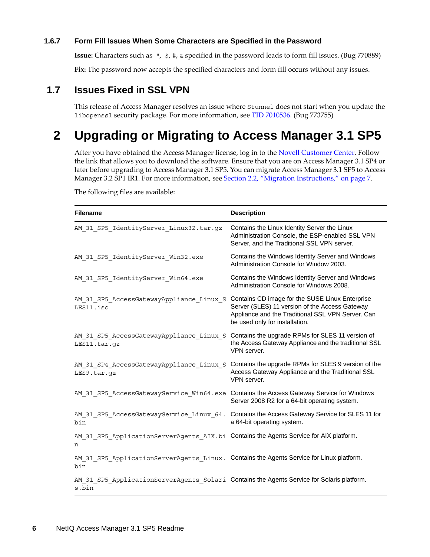#### **1.6.7 Form Fill Issues When Some Characters are Specified in the Password**

**Issue:** Characters such as ", \$, #, & specified in the password leads to form fill issues. (Bug 770889)

Fix: The password now accepts the specified characters and form fill occurs without any issues.

# **1.7 Issues Fixed in SSL VPN**

This release of Access Manager resolves an issue where Stunnel does not start when you update the libopenssl security package. For more information, see [TID 7010536](http://www.novell.com/support/kb/doc.php?id=7010536). (Bug 773755)

# <span id="page-5-0"></span>**2 Upgrading or Migrating to Access Manager 3.1 SP5**

After you have obtained the Access Manager license, log in to the [Novell Customer Center.](http://www.novell.com/center) Follow the link that allows you to download the software. Ensure that you are on Access Manager 3.1 SP4 or later before upgrading to Access Manager 3.1 SP5. You can migrate Access Manager 3.1 SP5 to Access Manager 3.2 SP1 IR1. For more information, see [Section 2.2, "Migration Instructions," on page 7.](#page-6-0)

**Filename** Description AM 31 SP5 IdentityServer Linux32.tar.gz Contains the Linux Identity Server the Linux Administration Console, the ESP-enabled SSL VPN Server, and the Traditional SSL VPN server. AM 31 SP5 IdentityServer Win32.exe Contains the Windows Identity Server and Windows Administration Console for Window 2003. AM 31 SP5 IdentityServer Win64.exe Contains the Windows Identity Server and Windows Administration Console for Windows 2008. AM 31 SP5 AccessGatewayAppliance Linux S Contains CD image for the SUSE Linux Enterprise LES11.iso Server (SLES) 11 version of the Access Gateway Appliance and the Traditional SSL VPN Server. Can be used only for installation. AM 31 SP5 AccessGatewayAppliance Linux S Contains the upgrade RPMs for SLES 11 version of LES11.tar.gz the Access Gateway Appliance and the traditional SSL VPN server. AM 31 SP4 AccessGatewayAppliance Linux S Contains the upgrade RPMs for SLES 9 version of the LES9.tar.gz Access Gateway Appliance and the Traditional SSL VPN server. AM\_31\_SP5\_AccessGatewayService Win64.exe Contains the Access Gateway Service for Windows Server 2008 R2 for a 64-bit operating system. AM 31 SP5 AccessGatewayService Linux 64. Contains the Access Gateway Service for SLES 11 for bin a 64-bit operating system. AM 31 SP5 ApplicationServerAgents AIX.bi Contains the Agents Service for AIX platform. n AM 31 SP5 ApplicationServerAgents Linux. Contains the Agents Service for Linux platform. bin AM\_31\_SP5\_ApplicationServerAgents\_Solari Contains the Agents Service for Solaris platform.s.bin

The following files are available: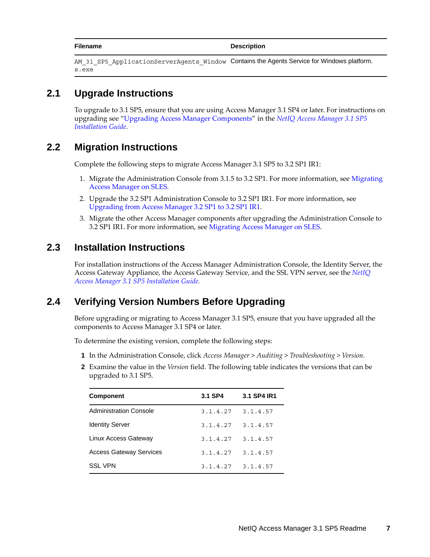**Filename** Description

```
AM 31 SP5 ApplicationServerAgents Window Contains the Agents Service for Windows platform.
s.exe
```
# **2.1 Upgrade Instructions**

To upgrade to 3.1 SP5, ensure that you are using Access Manager 3.1 SP4 or later. For instructions on upgrading see "Upgrading Access Manager Components" in the *NetIQ Access Manager 3.1 SP5 Installation Guide*.

# <span id="page-6-0"></span>**2.2 Migration Instructions**

Complete the following steps to migrate Access Manager 3.1 SP5 to 3.2 SP1 IR1:

- 1. Migrate the Administration Console from 3.1.5 to 3.2 SP1. For more information, see [Migrating](https://www.netiq.com/documentation/netiqaccessmanager32/mig_upgrade/?page=/documentation/netiqaccessmanager32/mig_upgrade/data/bookinfo.html)  [Access Manager on SLES.](https://www.netiq.com/documentation/netiqaccessmanager32/mig_upgrade/?page=/documentation/netiqaccessmanager32/mig_upgrade/data/bookinfo.html)
- 2. Upgrade the 3.2 SP1 Administration Console to 3.2 SP1 IR1. For more information, see [Upgrading from Access Manager 3.2 SP1 to 3.2 SP1 IR1](https://www.netiq.com/documentation/netiqaccessmanager32/installation/data/bzevr94.html#b13py9c1).
- 3. Migrate the other Access Manager components after upgrading the Administration Console to 3.2 SP1 IR1. For more information, see [Migrating Access Manager on SLES.](https://www.netiq.com/documentation/netiqaccessmanager32/mig_upgrade/?page=/documentation/netiqaccessmanager32/mig_upgrade/data/bookinfo.html)

### **2.3 Installation Instructions**

For installation instructions of the Access Manager Administration Console, the Identity Server, the Access Gateway Appliance, the Access Gateway Service, and the SSL VPN server, see the *NetIQ Access Manager 3.1 SP5 Installation Guide.*

# **2.4 Verifying Version Numbers Before Upgrading**

Before upgrading or migrating to Access Manager 3.1 SP5, ensure that you have upgraded all the components to Access Manager 3.1 SP4 or later.

To determine the existing version, complete the following steps:

- **1** In the Administration Console, click *Access Manager* > *Auditing* > *Troubleshooting > Version.*
- **2** Examine the value in the *Version* field. The following table indicates the versions that can be upgraded to 3.1 SP5.

| <b>Component</b>               | 3.1 SP4  | 3.1 SP4 IR1           |
|--------------------------------|----------|-----------------------|
| <b>Administration Console</b>  |          | $3.1.4.27$ $3.1.4.57$ |
| <b>Identity Server</b>         | 3.1.4.27 | 3.1.4.57              |
| Linux Access Gateway           | 3.1.4.27 | 3.1.4.57              |
| <b>Access Gateway Services</b> | 3.1.4.27 | 3.1.4.57              |
| <b>SSL VPN</b>                 |          | $3.1.4.27$ $3.1.4.57$ |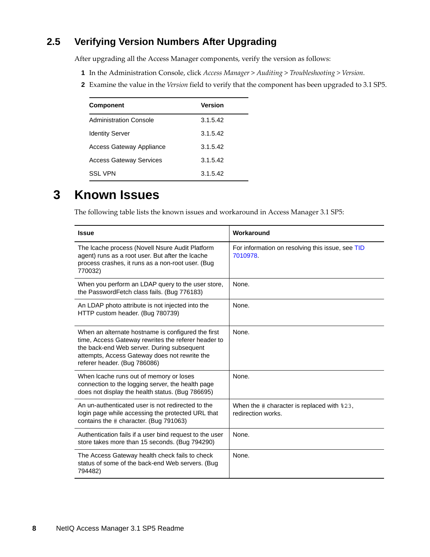# **2.5 Verifying Version Numbers After Upgrading**

After upgrading all the Access Manager components, verify the version as follows:

- **1** In the Administration Console, click *Access Manager* > *Auditing* > *Troubleshooting > Version.*
- **2** Examine the value in the *Version* field to verify that the component has been upgraded to 3.1 SP5.

| <b>Component</b>                | Version  |
|---------------------------------|----------|
| Administration Console          | 3.1.5.42 |
| <b>Identity Server</b>          | 3.1.5.42 |
| <b>Access Gateway Appliance</b> | 3.1.5.42 |
| <b>Access Gateway Services</b>  | 3.1.5.42 |
| SSL VPN                         | 3.1.5.42 |

# <span id="page-7-0"></span>**3 Known Issues**

The following table lists the known issues and workaround in Access Manager 3.1 SP5:

| <b>Issue</b>                                                                                                                                                                                                                             | Workaround                                                                      |
|------------------------------------------------------------------------------------------------------------------------------------------------------------------------------------------------------------------------------------------|---------------------------------------------------------------------------------|
| The Icache process (Novell Nsure Audit Platform<br>agent) runs as a root user. But after the Icache<br>process crashes, it runs as a non-root user. (Bug<br>770032)                                                                      | For information on resolving this issue, see TID<br>7010978                     |
| When you perform an LDAP query to the user store,<br>the PasswordFetch class fails. (Bug 776183)                                                                                                                                         | None.                                                                           |
| An LDAP photo attribute is not injected into the<br>HTTP custom header. (Bug 780739)                                                                                                                                                     | None.                                                                           |
| When an alternate hostname is configured the first<br>time, Access Gateway rewrites the referer header to<br>the back-end Web server. During subsequent<br>attempts, Access Gateway does not rewrite the<br>referer header. (Bug 786086) | None.                                                                           |
| When Icache runs out of memory or loses<br>connection to the logging server, the health page<br>does not display the health status. (Bug 786695)                                                                                         | None.                                                                           |
| An un-authenticated user is not redirected to the<br>login page while accessing the protected URL that<br>contains the # character. (Bug 791063)                                                                                         | When the $\#$ character is replaced with $\frac{1}{2}$ 3,<br>redirection works. |
| Authentication fails if a user bind request to the user<br>store takes more than 15 seconds. (Bug 794290)                                                                                                                                | None.                                                                           |
| The Access Gateway health check fails to check<br>status of some of the back-end Web servers. (Bug<br>794482)                                                                                                                            | None.                                                                           |